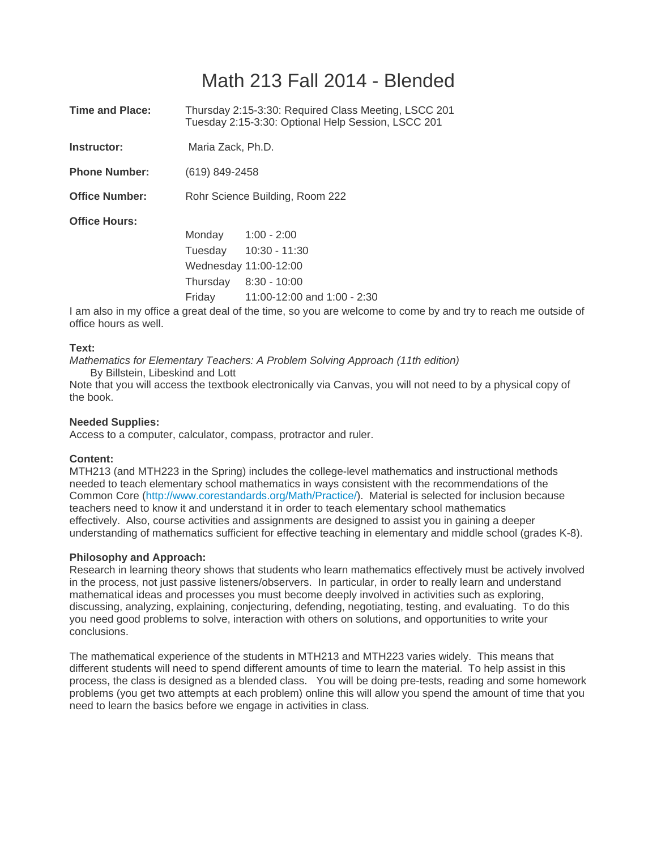# Math 213 Fall 2014 - Blended

| <b>Time and Place:</b> | Thursday 2:15-3:30: Required Class Meeting, LSCC 201<br>Tuesday 2:15-3:30: Optional Help Session, LSCC 201 |                                                                                                                            |  |  |  |
|------------------------|------------------------------------------------------------------------------------------------------------|----------------------------------------------------------------------------------------------------------------------------|--|--|--|
| Instructor:            | Maria Zack, Ph.D.                                                                                          |                                                                                                                            |  |  |  |
| <b>Phone Number:</b>   | (619) 849-2458                                                                                             |                                                                                                                            |  |  |  |
| <b>Office Number:</b>  |                                                                                                            | Rohr Science Building, Room 222                                                                                            |  |  |  |
| <b>Office Hours:</b>   |                                                                                                            |                                                                                                                            |  |  |  |
|                        | Monday                                                                                                     | $1:00 - 2:00$                                                                                                              |  |  |  |
|                        |                                                                                                            | Tuesday 10:30 - 11:30                                                                                                      |  |  |  |
|                        |                                                                                                            | Wednesday 11:00-12:00                                                                                                      |  |  |  |
|                        |                                                                                                            | Thursday 8:30 - 10:00                                                                                                      |  |  |  |
|                        |                                                                                                            | Friday $11:00-12:00$ and $1:00 - 2:30$                                                                                     |  |  |  |
|                        |                                                                                                            | di este electricito de la Milano e casa a distalla Milano Materiale de la casa de la casa este de la continenta de la casa |  |  |  |

I am also in my office a great deal of the time, so you are welcome to come by and try to reach me outside of office hours as well.

#### **Text:**

*Mathematics for Elementary Teachers: A Problem Solving Approach (11th edition)*  By Billstein, Libeskind and Lott

Note that you will access the textbook electronically via Canvas, you will not need to by a physical copy of the book.

#### **Needed Supplies:**

Access to a computer, calculator, compass, protractor and ruler.

#### **Content:**

MTH213 (and MTH223 in the Spring) includes the college-level mathematics and instructional methods needed to teach elementary school mathematics in ways consistent with the recommendations of the Common Core (http://www.corestandards.org/Math/Practice/). Material is selected for inclusion because teachers need to know it and understand it in order to teach elementary school mathematics effectively. Also, course activities and assignments are designed to assist you in gaining a deeper understanding of mathematics sufficient for effective teaching in elementary and middle school (grades K-8).

#### **Philosophy and Approach:**

Research in learning theory shows that students who learn mathematics effectively must be actively involved in the process, not just passive listeners/observers. In particular, in order to really learn and understand mathematical ideas and processes you must become deeply involved in activities such as exploring, discussing, analyzing, explaining, conjecturing, defending, negotiating, testing, and evaluating. To do this you need good problems to solve, interaction with others on solutions, and opportunities to write your conclusions.

The mathematical experience of the students in MTH213 and MTH223 varies widely. This means that different students will need to spend different amounts of time to learn the material. To help assist in this process, the class is designed as a blended class. You will be doing pre-tests, reading and some homework problems (you get two attempts at each problem) online this will allow you spend the amount of time that you need to learn the basics before we engage in activities in class.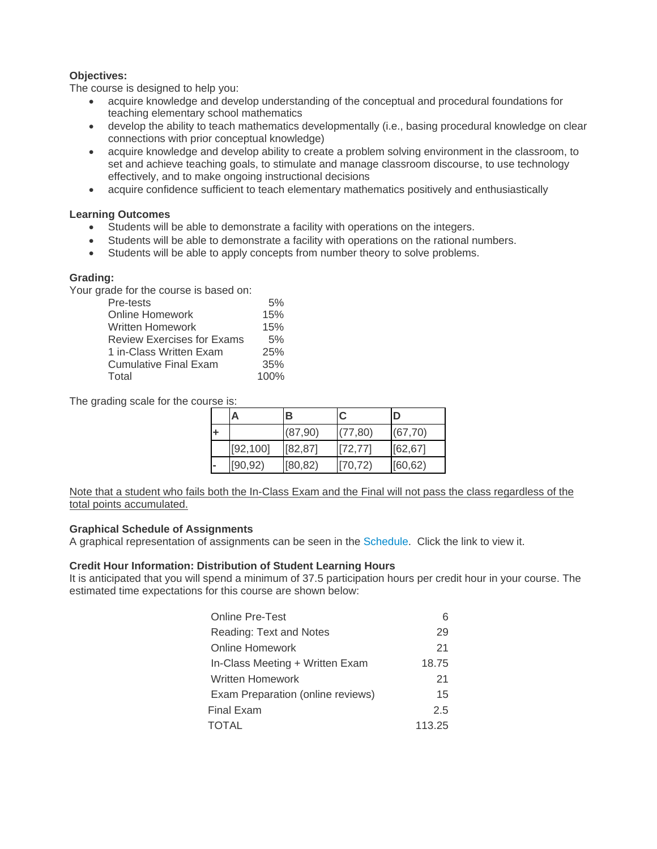## **Objectives:**

The course is designed to help you:

- acquire knowledge and develop understanding of the conceptual and procedural foundations for teaching elementary school mathematics
- develop the ability to teach mathematics developmentally (i.e., basing procedural knowledge on clear connections with prior conceptual knowledge)
- acquire knowledge and develop ability to create a problem solving environment in the classroom, to set and achieve teaching goals, to stimulate and manage classroom discourse, to use technology effectively, and to make ongoing instructional decisions
- acquire confidence sufficient to teach elementary mathematics positively and enthusiastically

### **Learning Outcomes**

- Students will be able to demonstrate a facility with operations on the integers.
- Students will be able to demonstrate a facility with operations on the rational numbers.
- Students will be able to apply concepts from number theory to solve problems.

## **Grading:**

Your grade for the course is based on:

| Pre-tests                         | 5%   |
|-----------------------------------|------|
| Online Homework                   | 15%  |
| Written Homework                  | 15%  |
| <b>Review Exercises for Exams</b> | 5%   |
| 1 in-Class Written Exam           | 25%  |
| Cumulative Final Exam             | 35%  |
| Total                             | 100% |

The grading scale for the course is:

|                | А         | B        | C        | D        |
|----------------|-----------|----------|----------|----------|
|                |           | (87,90)  | (77, 80) | (67, 70) |
|                | [92, 100] | [82, 87] | [72, 77] | [62, 67] |
| $\blacksquare$ | [90, 92)  | [80, 82) | [70, 72) | [60, 62) |

Note that a student who fails both the In-Class Exam and the Final will not pass the class regardless of the total points accumulated.

#### **Graphical Schedule of Assignments**

A graphical representation of assignments can be seen in the Schedule. Click the link to view it.

## **Credit Hour Information: Distribution of Student Learning Hours**

It is anticipated that you will spend a minimum of 37.5 participation hours per credit hour in your course. The estimated time expectations for this course are shown below:

| <b>Online Pre-Test</b>            |        |
|-----------------------------------|--------|
| Reading: Text and Notes           | 29     |
| Online Homework                   | 21     |
| In-Class Meeting + Written Exam   | 18.75  |
| <b>Written Homework</b>           | 21     |
| Exam Preparation (online reviews) | 15     |
| Final Exam                        | 2.5    |
| TOTAL                             | 113.25 |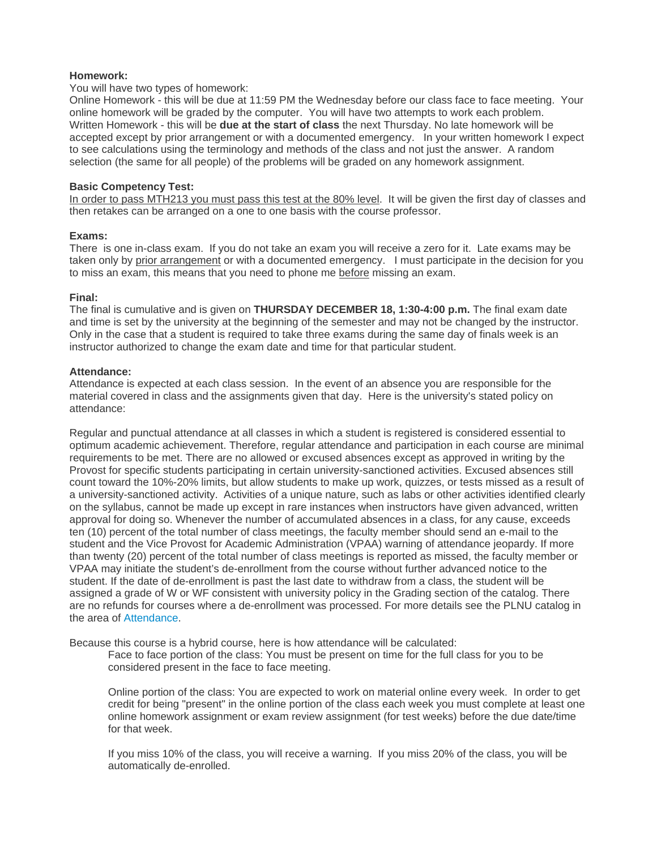#### **Homework:**

#### You will have two types of homework:

Online Homework - this will be due at 11:59 PM the Wednesday before our class face to face meeting. Your online homework will be graded by the computer. You will have two attempts to work each problem. Written Homework - this will be **due at the start of class** the next Thursday. No late homework will be accepted except by prior arrangement or with a documented emergency. In your written homework I expect to see calculations using the terminology and methods of the class and not just the answer. A random selection (the same for all people) of the problems will be graded on any homework assignment.

#### **Basic Competency Test:**

In order to pass MTH213 you must pass this test at the 80% level. It will be given the first day of classes and then retakes can be arranged on a one to one basis with the course professor.

#### **Exams:**

There is one in-class exam. If you do not take an exam you will receive a zero for it. Late exams may be taken only by prior arrangement or with a documented emergency. I must participate in the decision for you to miss an exam, this means that you need to phone me before missing an exam.

#### **Final:**

The final is cumulative and is given on **THURSDAY DECEMBER 18, 1:30-4:00 p.m.** The final exam date and time is set by the university at the beginning of the semester and may not be changed by the instructor. Only in the case that a student is required to take three exams during the same day of finals week is an instructor authorized to change the exam date and time for that particular student.

#### **Attendance:**

Attendance is expected at each class session. In the event of an absence you are responsible for the material covered in class and the assignments given that day. Here is the university's stated policy on attendance:

Regular and punctual attendance at all classes in which a student is registered is considered essential to optimum academic achievement. Therefore, regular attendance and participation in each course are minimal requirements to be met. There are no allowed or excused absences except as approved in writing by the Provost for specific students participating in certain university-sanctioned activities. Excused absences still count toward the 10%-20% limits, but allow students to make up work, quizzes, or tests missed as a result of a university-sanctioned activity. Activities of a unique nature, such as labs or other activities identified clearly on the syllabus, cannot be made up except in rare instances when instructors have given advanced, written approval for doing so. Whenever the number of accumulated absences in a class, for any cause, exceeds ten (10) percent of the total number of class meetings, the faculty member should send an e-mail to the student and the Vice Provost for Academic Administration (VPAA) warning of attendance jeopardy. If more than twenty (20) percent of the total number of class meetings is reported as missed, the faculty member or VPAA may initiate the student's de-enrollment from the course without further advanced notice to the student. If the date of de-enrollment is past the last date to withdraw from a class, the student will be assigned a grade of W or WF consistent with university policy in the Grading section of the catalog. There are no refunds for courses where a de-enrollment was processed. For more details see the PLNU catalog in the area of Attendance.

Because this course is a hybrid course, here is how attendance will be calculated:

Face to face portion of the class: You must be present on time for the full class for you to be considered present in the face to face meeting.

Online portion of the class: You are expected to work on material online every week. In order to get credit for being "present" in the online portion of the class each week you must complete at least one online homework assignment or exam review assignment (for test weeks) before the due date/time for that week

If you miss 10% of the class, you will receive a warning. If you miss 20% of the class, you will be automatically de-enrolled.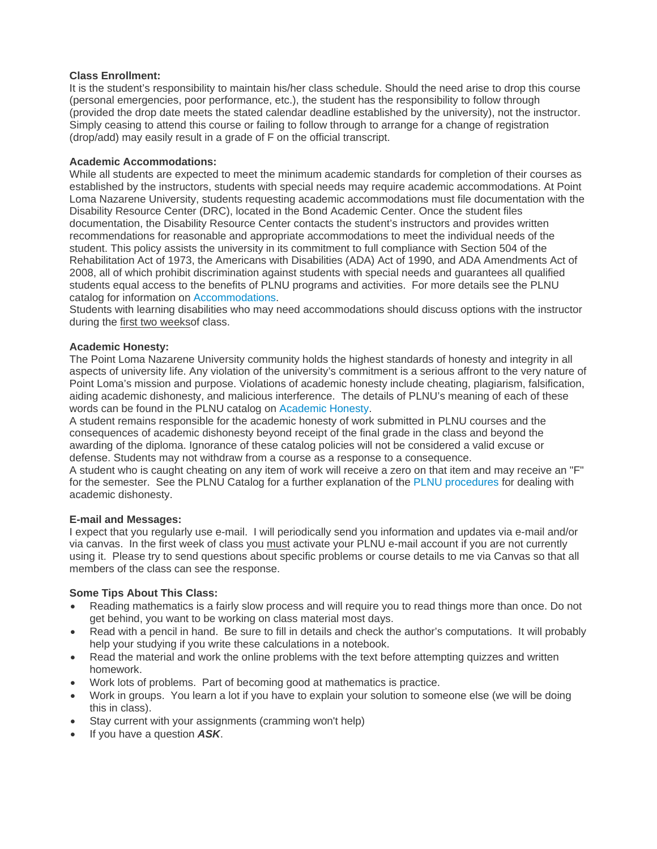#### **Class Enrollment:**

It is the student's responsibility to maintain his/her class schedule. Should the need arise to drop this course (personal emergencies, poor performance, etc.), the student has the responsibility to follow through (provided the drop date meets the stated calendar deadline established by the university), not the instructor. Simply ceasing to attend this course or failing to follow through to arrange for a change of registration (drop/add) may easily result in a grade of F on the official transcript.

#### **Academic Accommodations:**

While all students are expected to meet the minimum academic standards for completion of their courses as established by the instructors, students with special needs may require academic accommodations. At Point Loma Nazarene University, students requesting academic accommodations must file documentation with the Disability Resource Center (DRC), located in the Bond Academic Center. Once the student files documentation, the Disability Resource Center contacts the student's instructors and provides written recommendations for reasonable and appropriate accommodations to meet the individual needs of the student. This policy assists the university in its commitment to full compliance with Section 504 of the Rehabilitation Act of 1973, the Americans with Disabilities (ADA) Act of 1990, and ADA Amendments Act of 2008, all of which prohibit discrimination against students with special needs and guarantees all qualified students equal access to the benefits of PLNU programs and activities. For more details see the PLNU catalog for information on Accommodations.

Students with learning disabilities who may need accommodations should discuss options with the instructor during the first two weeksof class.

#### **Academic Honesty:**

The Point Loma Nazarene University community holds the highest standards of honesty and integrity in all aspects of university life. Any violation of the university's commitment is a serious affront to the very nature of Point Loma's mission and purpose. Violations of academic honesty include cheating, plagiarism, falsification, aiding academic dishonesty, and malicious interference. The details of PLNU's meaning of each of these words can be found in the PLNU catalog on Academic Honesty.

A student remains responsible for the academic honesty of work submitted in PLNU courses and the consequences of academic dishonesty beyond receipt of the final grade in the class and beyond the awarding of the diploma. Ignorance of these catalog policies will not be considered a valid excuse or defense. Students may not withdraw from a course as a response to a consequence.

A student who is caught cheating on any item of work will receive a zero on that item and may receive an "F" for the semester. See the PLNU Catalog for a further explanation of the PLNU procedures for dealing with academic dishonesty.

#### **E-mail and Messages:**

I expect that you regularly use e-mail. I will periodically send you information and updates via e-mail and/or via canvas. In the first week of class you must activate your PLNU e-mail account if you are not currently using it. Please try to send questions about specific problems or course details to me via Canvas so that all members of the class can see the response.

#### **Some Tips About This Class:**

- Reading mathematics is a fairly slow process and will require you to read things more than once. Do not get behind, you want to be working on class material most days.
- Read with a pencil in hand. Be sure to fill in details and check the author's computations. It will probably help your studying if you write these calculations in a notebook.
- Read the material and work the online problems with the text before attempting quizzes and written homework.
- Work lots of problems. Part of becoming good at mathematics is practice.
- Work in groups. You learn a lot if you have to explain your solution to someone else (we will be doing this in class).
- Stay current with your assignments (cramming won't help)
- If you have a question **ASK**.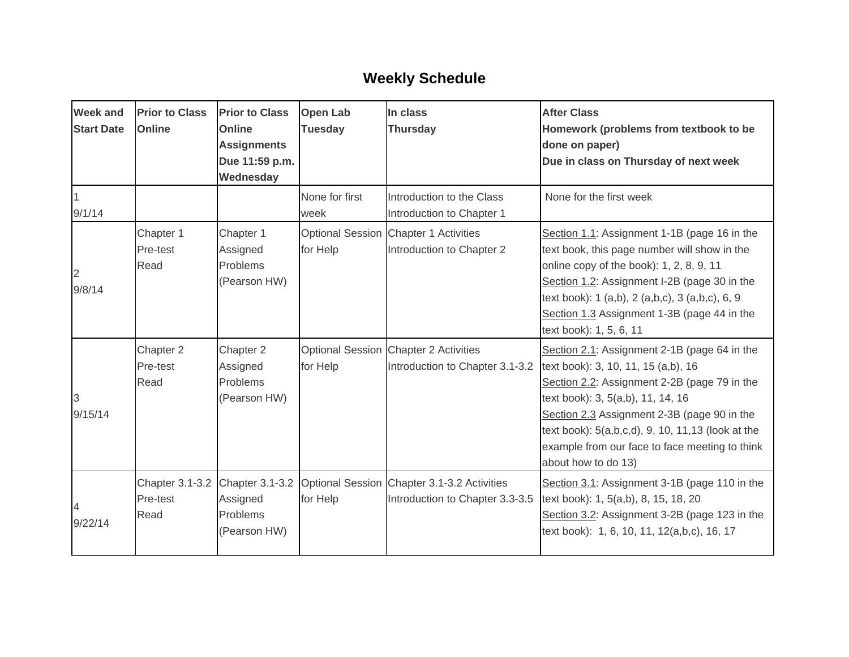## **Weekly Schedule**

| <b>Week and</b><br><b>Start Date</b> | <b>Prior to Class</b><br><b>Online</b> | <b>Prior to Class</b><br>Online<br><b>Assignments</b><br>Due 11:59 p.m.<br>Wednesday | <b>Open Lab</b><br><b>Tuesday</b> | In class<br><b>Thursday</b>                                                    | <b>After Class</b><br>Homework (problems from textbook to be<br>done on paper)<br>Due in class on Thursday of next week                                                                                                                                                                                                                               |
|--------------------------------------|----------------------------------------|--------------------------------------------------------------------------------------|-----------------------------------|--------------------------------------------------------------------------------|-------------------------------------------------------------------------------------------------------------------------------------------------------------------------------------------------------------------------------------------------------------------------------------------------------------------------------------------------------|
| 9/1/14                               |                                        |                                                                                      | None for first<br>week            | Introduction to the Class<br>Introduction to Chapter 1                         | None for the first week                                                                                                                                                                                                                                                                                                                               |
| $\overline{2}$<br>9/8/14             | Chapter 1<br>Pre-test<br>Read          | Chapter 1<br>Assigned<br>Problems<br>(Pearson HW)                                    | for Help                          | Optional Session Chapter 1 Activities<br>Introduction to Chapter 2             | Section 1.1: Assignment 1-1B (page 16 in the<br>text book, this page number will show in the<br>online copy of the book): 1, 2, 8, 9, 11<br>Section 1.2: Assignment I-2B (page 30 in the<br>text book): 1 (a,b), 2 (a,b,c), 3 (a,b,c), 6, 9<br>Section 1.3 Assignment 1-3B (page 44 in the<br>text book): 1, 5, 6, 11                                 |
| 3<br>9/15/14                         | Chapter 2<br>Pre-test<br>Read          | Chapter 2<br>Assigned<br>Problems<br>(Pearson HW)                                    | for Help                          | Optional Session Chapter 2 Activities<br>Introduction to Chapter 3.1-3.2       | Section 2.1: Assignment 2-1B (page 64 in the<br>text book): 3, 10, 11, 15 (a,b), 16<br>Section 2.2: Assignment 2-2B (page 79 in the<br>text book): 3, 5(a,b), 11, 14, 16<br>Section 2.3 Assignment 2-3B (page 90 in the<br>text book): 5(a,b,c,d), 9, 10, 11,13 (look at the<br>example from our face to face meeting to think<br>about how to do 13) |
| 9/22/14                              | Pre-test<br>Read                       | Chapter 3.1-3.2 Chapter 3.1-3.2<br>Assigned<br>Problems<br>(Pearson HW)              | for Help                          | Optional Session Chapter 3.1-3.2 Activities<br>Introduction to Chapter 3.3-3.5 | Section 3.1: Assignment 3-1B (page 110 in the<br>text book): 1, 5(a,b), 8, 15, 18, 20<br>Section 3.2: Assignment 3-2B (page 123 in the<br>text book): 1, 6, 10, 11, 12(a,b,c), 16, 17                                                                                                                                                                 |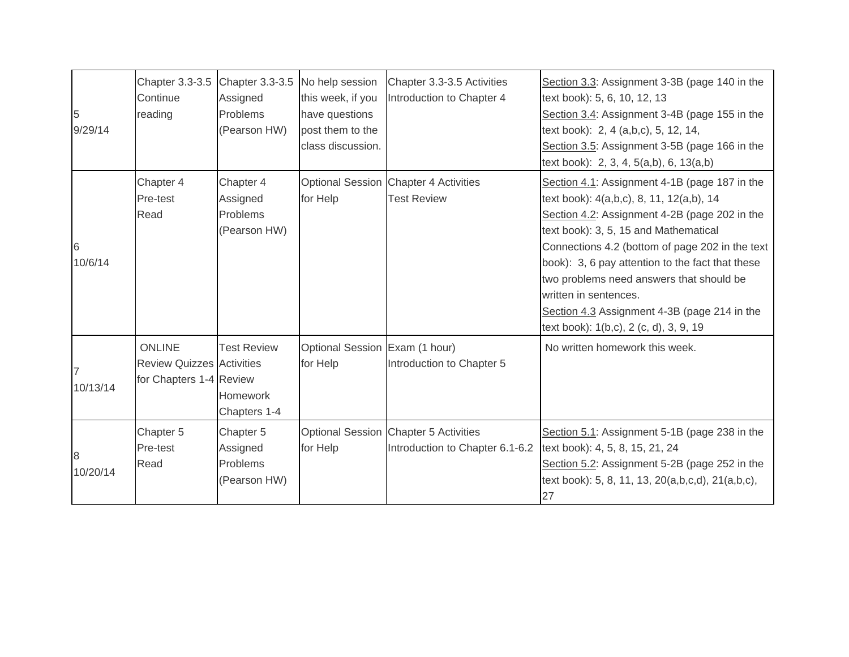| 5<br>9/29/14  | Chapter 3.3-3.5 Chapter 3.3-3.5<br>Continue<br>reading                | Assigned<br>Problems<br>(Pearson HW)                     | No help session<br>this week, if you<br>have questions<br>post them to the<br>class discussion. | Chapter 3.3-3.5 Activities<br>Introduction to Chapter 4                  | Section 3.3: Assignment 3-3B (page 140 in the<br>text book): 5, 6, 10, 12, 13<br>Section 3.4: Assignment 3-4B (page 155 in the<br>text book): 2, 4 (a,b,c), 5, 12, 14,<br>Section 3.5: Assignment 3-5B (page 166 in the<br>text book): 2, 3, 4, 5(a,b), 6, 13(a,b)                                                                                                                                                                                        |
|---------------|-----------------------------------------------------------------------|----------------------------------------------------------|-------------------------------------------------------------------------------------------------|--------------------------------------------------------------------------|-----------------------------------------------------------------------------------------------------------------------------------------------------------------------------------------------------------------------------------------------------------------------------------------------------------------------------------------------------------------------------------------------------------------------------------------------------------|
| 6<br>10/6/14  | Chapter 4<br>Pre-test<br>Read                                         | Chapter 4<br>Assigned<br><b>Problems</b><br>(Pearson HW) | for Help                                                                                        | Optional Session Chapter 4 Activities<br><b>Test Review</b>              | Section 4.1: Assignment 4-1B (page 187 in the<br>text book): 4(a,b,c), 8, 11, 12(a,b), 14<br>Section 4.2: Assignment 4-2B (page 202 in the<br>text book): 3, 5, 15 and Mathematical<br>Connections 4.2 (bottom of page 202 in the text<br>book): 3, 6 pay attention to the fact that these<br>two problems need answers that should be<br>written in sentences.<br>Section 4.3 Assignment 4-3B (page 214 in the<br>text book): 1(b,c), 2 (c, d), 3, 9, 19 |
| 10/13/14      | ONLINE<br><b>Review Quizzes Activities</b><br>for Chapters 1-4 Review | <b>Test Review</b><br><b>Homework</b><br>Chapters 1-4    | Optional Session Exam (1 hour)<br>for Help                                                      | Introduction to Chapter 5                                                | No written homework this week.                                                                                                                                                                                                                                                                                                                                                                                                                            |
| 8<br>10/20/14 | Chapter 5<br>Pre-test<br>Read                                         | Chapter 5<br>Assigned<br>Problems<br>(Pearson HW)        | for Help                                                                                        | Optional Session Chapter 5 Activities<br>Introduction to Chapter 6.1-6.2 | Section 5.1: Assignment 5-1B (page 238 in the<br>text book): 4, 5, 8, 15, 21, 24<br>Section 5.2: Assignment 5-2B (page 252 in the<br>text book): 5, 8, 11, 13, 20(a,b,c,d), 21(a,b,c),<br>27                                                                                                                                                                                                                                                              |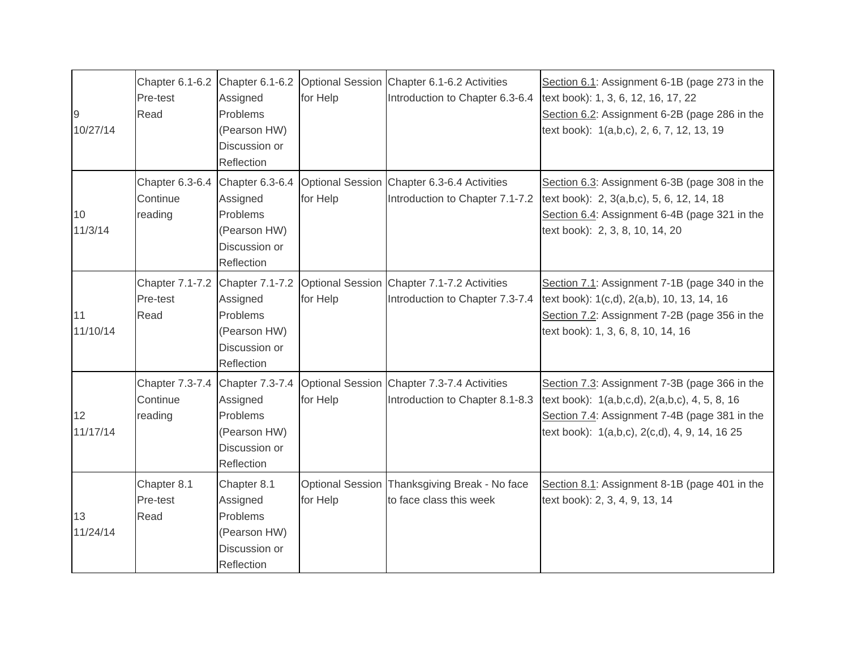| 9<br>10/27/14  | Pre-test<br>Read                       | Assigned<br>Problems<br>(Pearson HW)<br>Discussion or<br>Reflection                    | for Help | Chapter 6.1-6.2 Chapter 6.1-6.2 Optional Session Chapter 6.1-6.2 Activities<br>Introduction to Chapter 6.3-6.4 | Section 6.1: Assignment 6-1B (page 273 in the<br>text book): 1, 3, 6, 12, 16, 17, 22<br>Section 6.2: Assignment 6-2B (page 286 in the<br>text book): 1(a,b,c), 2, 6, 7, 12, 13, 19               |
|----------------|----------------------------------------|----------------------------------------------------------------------------------------|----------|----------------------------------------------------------------------------------------------------------------|--------------------------------------------------------------------------------------------------------------------------------------------------------------------------------------------------|
| 10<br>11/3/14  | Chapter 6.3-6.4<br>Continue<br>reading | Chapter 6.3-6.4<br>Assigned<br>Problems<br>(Pearson HW)<br>Discussion or<br>Reflection | for Help | Optional Session Chapter 6.3-6.4 Activities<br>Introduction to Chapter 7.1-7.2                                 | Section 6.3: Assignment 6-3B (page 308 in the<br>text book): 2, 3(a,b,c), 5, 6, 12, 14, 18<br>Section 6.4: Assignment 6-4B (page 321 in the<br>text book): 2, 3, 8, 10, 14, 20                   |
| 11<br>11/10/14 | Chapter 7.1-7.2<br>Pre-test<br>Read    | Chapter 7.1-7.2<br>Assigned<br>Problems<br>(Pearson HW)<br>Discussion or<br>Reflection | for Help | Optional Session Chapter 7.1-7.2 Activities<br>Introduction to Chapter 7.3-7.4                                 | Section 7.1: Assignment 7-1B (page 340 in the<br>text book): 1(c,d), 2(a,b), 10, 13, 14, 16<br>Section 7.2: Assignment 7-2B (page 356 in the<br>text book): 1, 3, 6, 8, 10, 14, 16               |
| 12<br>11/17/14 | Chapter 7.3-7.4<br>Continue<br>reading | Chapter 7.3-7.4<br>Assigned<br>Problems<br>(Pearson HW)<br>Discussion or<br>Reflection | for Help | Optional Session Chapter 7.3-7.4 Activities<br>Introduction to Chapter 8.1-8.3                                 | Section 7.3: Assignment 7-3B (page 366 in the<br>text book): 1(a,b,c,d), 2(a,b,c), 4, 5, 8, 16<br>Section 7.4: Assignment 7-4B (page 381 in the<br>text book): 1(a,b,c), 2(c,d), 4, 9, 14, 16 25 |
| 13<br>11/24/14 | Chapter 8.1<br>Pre-test<br>Read        | Chapter 8.1<br>Assigned<br>Problems<br>(Pearson HW)<br>Discussion or<br>Reflection     | for Help | Optional Session Thanksgiving Break - No face<br>to face class this week                                       | Section 8.1: Assignment 8-1B (page 401 in the<br>text book): 2, 3, 4, 9, 13, 14                                                                                                                  |